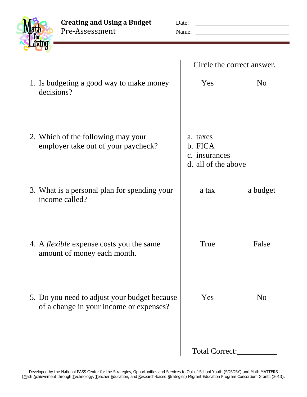**Creating and Using a Budget** Date: \_\_\_\_\_\_\_\_\_\_\_\_\_\_\_\_\_\_\_\_\_\_\_\_\_\_\_\_\_\_\_ Pre-Assessment Name: \_\_\_\_\_\_\_\_\_\_\_\_\_\_\_\_\_\_\_\_\_\_\_\_\_\_\_\_\_\_\_

| Circle the correct answer.                                  |                |
|-------------------------------------------------------------|----------------|
| Yes                                                         | N <sub>o</sub> |
| a. taxes<br>b. FICA<br>c. insurances<br>d. all of the above |                |
| a tax                                                       | a budget       |
| True                                                        | False          |
| Yes                                                         | N <sub>0</sub> |
| Total Correct:                                              |                |
|                                                             |                |